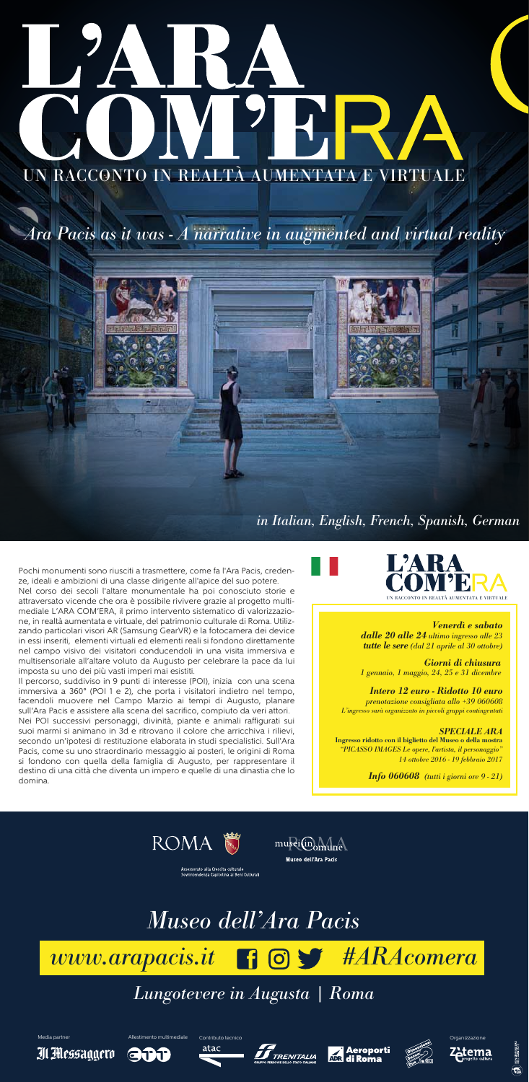Pochi monumenti sono riusciti a trasmettere, come fa l'Ara Pacis, credenze, ideali e ambizioni di una classe dirigente all'apice del suo potere. Nel corso dei secoli l'altare monumentale ha poi conosciuto storie e attraversato vicende che ora è possibile rivivere grazie al progetto multimediale L'ARA COM'ERA, il primo intervento sistematico di valorizzazione, in realtà aumentata e virtuale, del patrimonio culturale di Roma. Utilizzando particolari visori AR (Samsung GearVR) e la fotocamera dei device in essi inseriti, elementi virtuali ed elementi reali si fondono direttamente nel campo visivo dei visitatori conducendoli in una visita immersiva e multisensoriale all'altare voluto da Augusto per celebrare la pace da lui imposta su uno dei più vasti imperi mai esistiti.

Il percorso, suddiviso in 9 punti di interesse (POI), inizia con una scena immersiva a 360° (POI 1 e 2), che porta i visitatori indietro nel tempo, facendoli muovere nel Campo Marzio ai tempi di Augusto, planare sull'Ara Pacis e assistere alla scena del sacrifico, compiuto da veri attori. Nei POI successivi personaggi, divinità, piante e animali raffigurati sui suoi marmi si animano in 3d e ritrovano il colore che arricchiva i rilievi, secondo un'ipotesi di restituzione elaborata in studi specialistici. Sull'Ara Pacis, come su uno straordinario messaggio ai posteri, le origini di Roma si fondono con quella della famiglia di Augusto, per rappresentare il destino di una città che diventa un impero e quelle di una dinastia che lo domina.

# *Museo dell'Ara Pacis*

*Lungotevere in Augusta | Roma*

Il Messaggero

Media partner **Allestimento multimediale** Contributo tecnico **Contributo tecnico** Organizzazione Contributo tecnico

GTT

atac







Zetema

# *www.arapacis.it #ARAcomera*



*Ara Pacis as it was - A narrative in augmented and virtual reality*



*in Italian, English, French, Spanish, German*

# *Venerdì e sabato dalle 20 alle 24 ultimo ingresso alle 23*

*tutte le sere (dal 21 aprile al 30 ottobre)*

*Intero 12 euro - Ridotto 10 euro prenotazione consigliata allo +39 060608 L'ingresso sarà organizzato in piccoli gruppi contingentati*

# *SPECIALE ARA*

**Ingresso ridotto con il biglietto del Museo o della mostra** *"PICASSO IMAGES Le opere, l'artista, il personaggio" 14 ottobre 2016 - 19 febbraio 2017*

*Info 060608 (tutti i giorni ore 9 - 21)*





Museo dell'Ara Pacis

Assessorato alla Crescita culturale<br>Sovrintendenza Capitolina ai Beni Culturali

# UN RACCONTO IN REALTÀ AUMENTATA E VIRTUALE

*Giorni di chiusura 1 gennaio, 1 maggio, 24, 25 e 31 dicembre*